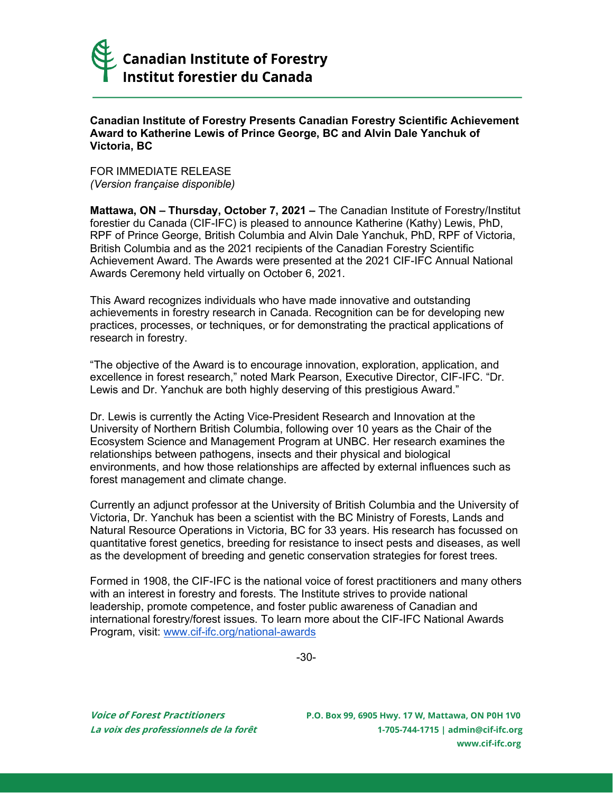

## **Canadian Institute of Forestry Presents Canadian Forestry Scientific Achievement Award to Katherine Lewis of Prince George, BC and Alvin Dale Yanchuk of Victoria, BC**

FOR IMMEDIATE RELEASE *(Version française disponible)*

**Mattawa, ON – Thursday, October 7, 2021 –** The Canadian Institute of Forestry/Institut forestier du Canada (CIF-IFC) is pleased to announce Katherine (Kathy) Lewis, PhD, RPF of Prince George, British Columbia and Alvin Dale Yanchuk, PhD, RPF of Victoria, British Columbia and as the 2021 recipients of the Canadian Forestry Scientific Achievement Award. The Awards were presented at the 2021 CIF-IFC Annual National Awards Ceremony held virtually on October 6, 2021.

This Award recognizes individuals who have made innovative and outstanding achievements in forestry research in Canada. Recognition can be for developing new practices, processes, or techniques, or for demonstrating the practical applications of research in forestry.

"The objective of the Award is to encourage innovation, exploration, application, and excellence in forest research," noted Mark Pearson, Executive Director, CIF-IFC. "Dr. Lewis and Dr. Yanchuk are both highly deserving of this prestigious Award."

Dr. Lewis is currently the Acting Vice-President Research and Innovation at the University of Northern British Columbia, following over 10 years as the Chair of the Ecosystem Science and Management Program at UNBC. Her research examines the relationships between pathogens, insects and their physical and biological environments, and how those relationships are affected by external influences such as forest management and climate change.

Currently an adjunct professor at the University of British Columbia and the University of Victoria, Dr. Yanchuk has been a scientist with the BC Ministry of Forests, Lands and Natural Resource Operations in Victoria, BC for 33 years. His research has focussed on quantitative forest genetics, breeding for resistance to insect pests and diseases, as well as the development of breeding and genetic conservation strategies for forest trees.

Formed in 1908, the CIF-IFC is the national voice of forest practitioners and many others with an interest in forestry and forests. The Institute strives to provide national leadership, promote competence, and foster public awareness of Canadian and international forestry/forest issues. To learn more about the CIF-IFC National Awards Program, visit: [www.cif-ifc.org/national-awards](http://www.cif-ifc.org/national-awards/)

-30-

**Voice of Forest Practitioners P.O. Box 99, 6905 Hwy. 17 W, Mattawa, ON P0H 1V0 La voix des professionnels de la forêt 1-705-744-1715 [| admin@cif-ifc.org](mailto:admin@cif-ifc.org) [www.cif-ifc.org](http://www.cif-ifc.org/)**